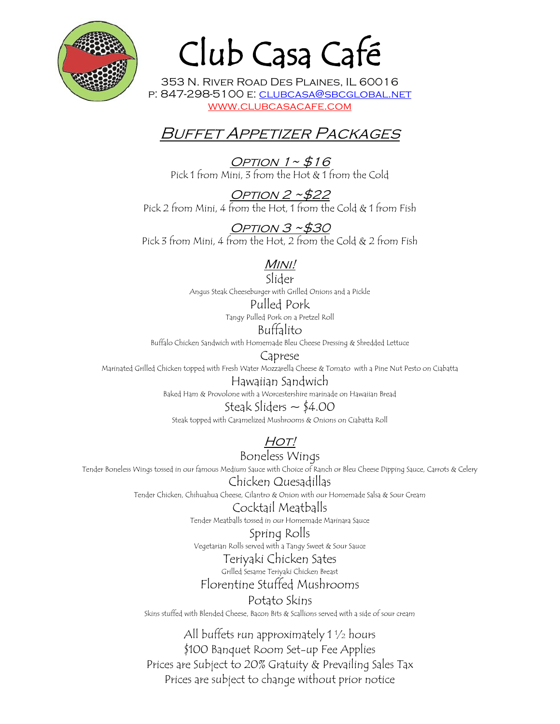

# Club Casa Café

353 N. River Road Des Plaines, IL 60016 p: 847-298-5100 e: clubcasa@sbcglobal.net www.clubcasacafe.com

## **BUFFET APPETIZER PACKAGES**

Option  $1~$   $\sim$  \$16 Pick 1 from Mini, 3 from the Hot & 1 from the Cold

Option 2 ~\$22 Pick 2 from Mini, 4 from the Hot, 1 from the Cold & 1 from Fish

Option 3 ~\$30 Pick 3 from Mini, 4 from the Hot, 2 from the Cold & 2 from Fish

## Mini!

Slider Angus Steak Cheeseburger with Grilled Onions and a Pickle Pulled Pork Tangy Pulled Pork on a Pretzel Roll

Buffalito

Buffalo Chicken Sandwich with Homemade Bleu Cheese Dressing & Shredded Lettuce

Caprese

Marinated Grilled Chicken topped with Fresh Water Mozzarella Cheese & Tomato with a Pine Nut Pesto on Ciabatta

Hawaiian Sandwich

Baked Ham & Provolone with a Worcestershire marinade on Hawaiian Bread

Steak Sliders  $\sim$  \$4.00 Steak topped with Caramelized Mushrooms & Onions on Ciabatta Roll

 $HOT!$ 

Boneless Wings Tender Boneless Wings tossed in our famous Medium Sauce with Choice of Ranch or Bleu Cheese Dipping Sauce, Carrots & Celery

Chicken Quesadillas

Tender Chicken, Chihuahua Cheese, Cilantro & Onion with our Homemade Salsa & Sour Cream

Cocktail Meatballs Tender Meatballs tossed in our Homemade Marinara Sauce

Spring Rolls Vegetarian Rolls served with a Tangy Sweet & Sour Sauce

Teriyaki Chicken Sates

Grilled Sesame Teriyaki Chicken Breast Florentine Stuffed Mushrooms

Potato Skins Skins stuffed with Blended Cheese, Bacon Bits & Scallions served with a side of sour cream

All buffets run approximately 1 ½ hours \$100 Banquet Room Set-up Fee Applies Prices are Subject to 20% Gratuity & Prevailing Sales Tax Prices are subject to change without prior notice